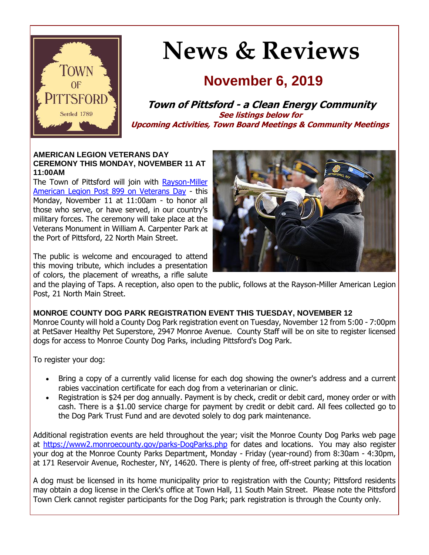

# **News & Reviews**

# **November 6, 2019**

**Town of Pittsford - a Clean Energy Community See listings below for Upcoming Activities, Town Board Meetings & Community Meetings**

#### **AMERICAN LEGION VETERANS DAY CEREMONY THIS MONDAY, NOVEMBER 11 AT 11:00AM**

The Town of Pittsford will join with Rayson-Miller [American Legion Post 899 on Veterans Day](http://r20.rs6.net/tn.jsp?f=001x6g64B0DxVZwEdhEMTY7DjGIlv4rzVwQMt0yecxZQ2Ej57KLV5JNXmFv7Z1FfVjqPNtGSbgKDoPmjMh-0X0PsjdAp4cMeSpkMLRkQ5ikic09OdDh-YXa0tztT8YDFUWZ8RxGXjZvLgOkJXhsS8JLETZdpN97w0s-brsKKvyBA4giPgAa97LwmGcz9zfdONGSVOBPWZZ_4JRutR4HG7HhaX9Cda-xat12uZdLUxekueGrbLBZg8DxIWJu5A5wHO-KXmNWZTwHv8aFLI1yGAE_5oasb200Q45CdhpMKMd90DxMWA1l0GzUUg==&c=OUPQTod9FfGn2PAkaoWWi7lpZflBsg9vJJbPtF33EvmPlcNOewbIPA==&ch=2zuaHHIx076__5MjQIOuz3MCJsTuopDJzp57EyftlCtR5sQMMQWZEQ==) - this Monday, November 11 at 11:00am - to honor all those who serve, or have served, in our country's military forces. The ceremony will take place at the Veterans Monument in William A. Carpenter Park at the Port of Pittsford, 22 North Main Street.

The public is welcome and encouraged to attend this moving tribute, which includes a presentation of colors, the placement of wreaths, a rifle salute



and the playing of Taps. A reception, also open to the public, follows at the Rayson-Miller American Legion Post, 21 North Main Street.

# **MONROE COUNTY DOG PARK REGISTRATION EVENT THIS TUESDAY, NOVEMBER 12**

Monroe County will hold a County Dog Park registration event on Tuesday, November 12 from 5:00 - 7:00pm at PetSaver Healthy Pet Superstore, 2947 Monroe Avenue. County Staff will be on site to register licensed dogs for access to Monroe County Dog Parks, including Pittsford's Dog Park.

To register your dog:

- Bring a copy of a currently valid license for each dog showing the owner's address and a current rabies vaccination certificate for each dog from a veterinarian or clinic.
- Registration is \$24 per dog annually. Payment is by check, credit or debit card, money order or with cash. There is a \$1.00 service charge for payment by credit or debit card. All fees collected go to the Dog Park Trust Fund and are devoted solely to dog park maintenance.

Additional registration events are held throughout the year; visit the Monroe County Dog Parks web page at [https://www2.monroecounty.gov/parks-DogParks.php](http://r20.rs6.net/tn.jsp?f=001x6g64B0DxVZwEdhEMTY7DjGIlv4rzVwQMt0yecxZQ2Ej57KLV5JNXl1uyeRU8FWxYxE3zLphPuVHl26H3mLV98kO1HKXqg9S9Cq6fABmLRY2tI4oqBtNFYbdltBp6How9Oak8VZs4uOcBbjuucNe88G7AMuX4GMDkvJ5EJi9wuajNLS6Q49w1nJRjByT55Ffwr4PHkhPVCLrrmC5P__kA7epY7ZyUb0MOrzkfC0O_7ZkcQMW1E_qNniHVm5zS7RaC6O278BXj7dFYFRST7358Oxp2us2fFn28lG4IlxMPy052kfTuB9ofd-bbuTiLwgZ&c=OUPQTod9FfGn2PAkaoWWi7lpZflBsg9vJJbPtF33EvmPlcNOewbIPA==&ch=2zuaHHIx076__5MjQIOuz3MCJsTuopDJzp57EyftlCtR5sQMMQWZEQ==) for dates and locations. You may also register your dog at the Monroe County Parks Department, Monday - Friday (year-round) from 8:30am - 4:30pm, at 171 Reservoir Avenue, Rochester, NY, 14620. There is plenty of free, off-street parking at this location

A dog must be licensed in its home municipality prior to registration with the County; Pittsford residents may obtain a dog license in the Clerk's office at Town Hall, 11 South Main Street. Please note the Pittsford Town Clerk cannot register participants for the Dog Park; park registration is through the County only.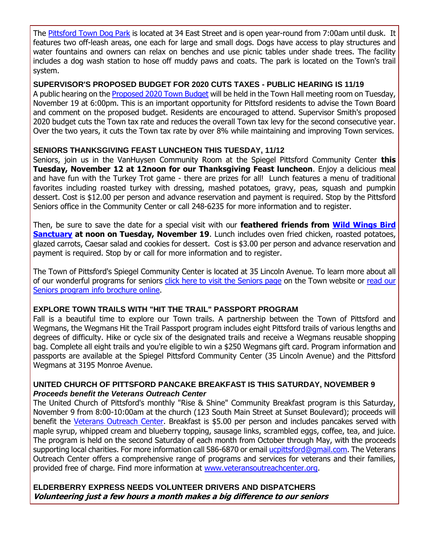The [Pittsford Town Dog Park](http://r20.rs6.net/tn.jsp?f=001x6g64B0DxVZwEdhEMTY7DjGIlv4rzVwQMt0yecxZQ2Ej57KLV5JNXsP0H7hoyLqYPMBfY_2An2xoJr4OLwwWlilmH1pq0xB4HQz_uNfGcuUvxeWlPUXCFCr_EB6u512Bv3snoZdQB8odgm2bnEXpUVgh27kMJtF5Xmhu4BQbjgURWFm04kPsGfYt3sOn_rNxRWEwsBOgqR9kGmyiJxNSZyrvZyRmDIcx6aWcAtFAm_iRpm-wvrCly0Nqk5N5yjN1gSLptQWi1gPtoHYfwjLmbcdfLBrQucWbCw2Rw5kqhZJjez5U0Q1clG20BvTYN2_f438F3Hb5UrhFtmlb7qLl1D8NjGmk0bfBh-vI5h46hKTo__a-_JzVPQ==&c=OUPQTod9FfGn2PAkaoWWi7lpZflBsg9vJJbPtF33EvmPlcNOewbIPA==&ch=2zuaHHIx076__5MjQIOuz3MCJsTuopDJzp57EyftlCtR5sQMMQWZEQ==) is located at 34 East Street and is open year-round from 7:00am until dusk. It features two off-leash areas, one each for large and small dogs. Dogs have access to play structures and water fountains and owners can relax on benches and use picnic tables under shade trees. The facility includes a dog wash station to hose off muddy paws and coats. The park is located on the Town's trail system.

#### **SUPERVISOR'S PROPOSED BUDGET FOR 2020 CUTS TAXES - PUBLIC HEARING IS 11/19**

A public hearing on the [Proposed 2020 Town Budget](http://r20.rs6.net/tn.jsp?f=001x6g64B0DxVZwEdhEMTY7DjGIlv4rzVwQMt0yecxZQ2Ej57KLV5JNXrxweMePwzHsF-AZatc3RMTZ8mhh-VQE0zbVFh_WzDmZHoGTZjHRU5N4nZns38TlswX1mR09QFv8tqL22YM9X_WVhUcWKowJaTGrS1vCev9HKcSfeUFf_1TvzvrCqQDMKF4EEHV6TF0dKw-OiEF4_Q20TfnChzkK2kkKZDuU0TJPmjCOdwRVqMHrtEBRSJ86qYpLAd8TxAhgH7uGFMTcVgIigY0M2NXefHd4qrqv_raDGyxVXH1Weqw8efRxvIDwyQ==&c=OUPQTod9FfGn2PAkaoWWi7lpZflBsg9vJJbPtF33EvmPlcNOewbIPA==&ch=2zuaHHIx076__5MjQIOuz3MCJsTuopDJzp57EyftlCtR5sQMMQWZEQ==) will be held in the Town Hall meeting room on Tuesday, November 19 at 6:00pm. This is an important opportunity for Pittsford residents to advise the Town Board and comment on the proposed budget. Residents are encouraged to attend. Supervisor Smith's proposed 2020 budget cuts the Town tax rate and reduces the overall Town tax levy for the second consecutive year. Over the two years, it cuts the Town tax rate by over 8% while maintaining and improving Town services.

#### **SENIORS THANKSGIVING FEAST LUNCHEON THIS TUESDAY, 11/12**

Seniors, join us in the VanHuysen Community Room at the Spiegel Pittsford Community Center **this Tuesday, November 12 at 12noon for our Thanksgiving Feast luncheon**. Enjoy a delicious meal and have fun with the Turkey Trot game - there are prizes for all! Lunch features a menu of traditional favorites including roasted turkey with dressing, mashed potatoes, gravy, peas, squash and pumpkin dessert. Cost is \$12.00 per person and advance reservation and payment is required. Stop by the Pittsford Seniors office in the Community Center or call 248-6235 for more information and to register.

Then, be sure to save the date for a special visit with our **feathered friends from [Wild Wings Bird](http://r20.rs6.net/tn.jsp?f=001x6g64B0DxVZwEdhEMTY7DjGIlv4rzVwQMt0yecxZQ2Ej57KLV5JNXreBxLXPTWy05amrAB3fGXbqlcPRo3PmkPjPfnSTxQTUrQcAu91gOfEt97AoYzBJcmg_s4igirC381VE_kkwi-kZDcz6N6QIIcjU7L5DSW4AMTIjrXYcgDdH3TDcq7A6SPlAWbGgf-I8a8nA9VktNTIFWqOGwm7_bqENQJ68vUVGbs4Or6qGp0mzGdUaoaiXANIjifWHShncHQaFl5l8QKKlCFLOH-zEQyLD1Ee2U_3MOqPtwWsnHMY=&c=OUPQTod9FfGn2PAkaoWWi7lpZflBsg9vJJbPtF33EvmPlcNOewbIPA==&ch=2zuaHHIx076__5MjQIOuz3MCJsTuopDJzp57EyftlCtR5sQMMQWZEQ==)  [Sanctuary](http://r20.rs6.net/tn.jsp?f=001x6g64B0DxVZwEdhEMTY7DjGIlv4rzVwQMt0yecxZQ2Ej57KLV5JNXreBxLXPTWy05amrAB3fGXbqlcPRo3PmkPjPfnSTxQTUrQcAu91gOfEt97AoYzBJcmg_s4igirC381VE_kkwi-kZDcz6N6QIIcjU7L5DSW4AMTIjrXYcgDdH3TDcq7A6SPlAWbGgf-I8a8nA9VktNTIFWqOGwm7_bqENQJ68vUVGbs4Or6qGp0mzGdUaoaiXANIjifWHShncHQaFl5l8QKKlCFLOH-zEQyLD1Ee2U_3MOqPtwWsnHMY=&c=OUPQTod9FfGn2PAkaoWWi7lpZflBsg9vJJbPtF33EvmPlcNOewbIPA==&ch=2zuaHHIx076__5MjQIOuz3MCJsTuopDJzp57EyftlCtR5sQMMQWZEQ==) at noon on Tuesday, November 19.** Lunch includes oven fried chicken, roasted potatoes, glazed carrots, Caesar salad and cookies for dessert. Cost is \$3.00 per person and advance reservation and payment is required. Stop by or call for more information and to register.

The Town of Pittsford's Spiegel Community Center is located at 35 Lincoln Avenue. To learn more about all of our wonderful programs for seniors [click here to visit the Seniors page](http://r20.rs6.net/tn.jsp?f=001x6g64B0DxVZwEdhEMTY7DjGIlv4rzVwQMt0yecxZQ2Ej57KLV5JNXhy7BvxbdlhhagtO6Iorro67nBFd4Zq09ZDioky6RPvTBj8TfcSoIKOzpVWVCyTDnBBfl56cV0Tob66zhSFRPFG6ZaClhWw_iZ160XmKfuw5LkXv3aU9PUC3n5bH71vFp9XFM4bjIh6IchCePLrM0bbVgrNeVII6LPnMImvr3M1Tdyj6D9C_q9ICT0hA2bhF_m-G0HMjGlgL1dTpvw-wq0uiXTfaWsDSzX5a0l6MumH5AezMgU88Ak457rMWq55phRj7_7MK1Aq3&c=OUPQTod9FfGn2PAkaoWWi7lpZflBsg9vJJbPtF33EvmPlcNOewbIPA==&ch=2zuaHHIx076__5MjQIOuz3MCJsTuopDJzp57EyftlCtR5sQMMQWZEQ==) on the Town website or read our [Seniors program info brochure online.](http://r20.rs6.net/tn.jsp?f=001x6g64B0DxVZwEdhEMTY7DjGIlv4rzVwQMt0yecxZQ2Ej57KLV5JNXoWStu-vKoYKJReQPDweG1fxdvLy5FWTrcfDg_fuJe_oPLNkT2BO9ySDjgKTCbbBaTIYa8Mh_MYYVoyw1jIsMzid-VZelpVD7FGz2euQd7CqIGxMs_HRx7UQHiNVBF_7ycYGUby0wg49hfnmkvwILXnpPGxA8zr17DCGasNPk0CbMiOstpJSwarR5lEKyu8tH7B2b6GUSTpULYXwRERlOEr6WzPeLK6pXoc5I3rG8JR7lXS_nbEYOaq6eGWI2mRb2tnWKrPPV6omm1_-yU0DUeBZ7j_90ty82FliXXDWaZgHypsp2b9bRFnmbJopnZPGhw==&c=OUPQTod9FfGn2PAkaoWWi7lpZflBsg9vJJbPtF33EvmPlcNOewbIPA==&ch=2zuaHHIx076__5MjQIOuz3MCJsTuopDJzp57EyftlCtR5sQMMQWZEQ==)

#### **EXPLORE TOWN TRAILS WITH "HIT THE TRAIL" PASSPORT PROGRAM**

Fall is a beautiful time to explore our Town trails. A partnership between the Town of Pittsford and Wegmans, the Wegmans Hit the Trail Passport program includes eight Pittsford trails of various lengths and degrees of difficulty. Hike or cycle six of the designated trails and receive a Wegmans reusable shopping bag. Complete all eight trails and you're eligible to win a \$250 Wegmans gift card. Program information and passports are available at the Spiegel Pittsford Community Center (35 Lincoln Avenue) and the Pittsford Wegmans at 3195 Monroe Avenue.

#### **UNITED CHURCH OF PITTSFORD PANCAKE BREAKFAST IS THIS SATURDAY, NOVEMBER 9** *Proceeds benefit the Veterans Outreach Center*

The United Church of Pittsford's monthly "Rise & Shine" Community Breakfast program is this Saturday, November 9 from 8:00-10:00am at the church (123 South Main Street at Sunset Boulevard); proceeds will benefit the [Veterans Outreach Center.](http://r20.rs6.net/tn.jsp?f=001x6g64B0DxVZwEdhEMTY7DjGIlv4rzVwQMt0yecxZQ2Ej57KLV5JNXsnRp8pLwz-PbHmuKWWVQJ2nJWwnBAJVBO1jPA4rOGN665fiXpQH7xHx8rfn40AaCjCiCwE5hOG6WB3U7D5QBTAC0I9k6PcR-VyO5feCueap07HOqmCTXY3ze2NqE0uZGDpNJYsTWJyGB6x-4YOXfokBF47XTB9xvyDLSjqSSiS0StlC5Tce-BU_9zIXv5kdKoEkZkwZUG4lvLGoOmrrCMG6O-zjnoaNYS3CKJyiJBN6szNV1id2vP3ADqCk3Es3hQ==&c=OUPQTod9FfGn2PAkaoWWi7lpZflBsg9vJJbPtF33EvmPlcNOewbIPA==&ch=2zuaHHIx076__5MjQIOuz3MCJsTuopDJzp57EyftlCtR5sQMMQWZEQ==) Breakfast is \$5.00 per person and includes pancakes served with maple syrup, whipped cream and blueberry topping, sausage links, scrambled eggs, coffee, tea, and juice. The program is held on the second Saturday of each month from October through May, with the proceeds supporting local charities. For more information call 586-6870 or email [ucpittsford@gmail.com.](mailto:ucpittsford@gmail.com?subject=Rise%20%26%20Shine%20Community%20Breakfast) The Veterans Outreach Center offers a comprehensive range of programs and services for veterans and their families, provided free of charge. Find more information at [www.veteransoutreachcenter.org.](http://r20.rs6.net/tn.jsp?f=001x6g64B0DxVZwEdhEMTY7DjGIlv4rzVwQMt0yecxZQ2Ej57KLV5JNXsP0H7hoyLqYpqmOLQHZox1HIrTbfzONf75263TRUOR7JuIXtK08w2BfsI_YnrY3bVkelC3VjC2dNn7yRhARCTUsf09b9pb15Uj1k2lr2rwaU6sAS8JhjS7SDhPIc2a6SxERLMCk5I73l-T74nSB6mOcTqHPsgA0tKkehumoiNsjWomDCg19u4Tpt-iS8ymawKhphSHpZ7EOey0cHBoBP14Gnc5Bve5SVG5DG08y2--qcQg1D_dsgpV7oSKA7JEOVw==&c=OUPQTod9FfGn2PAkaoWWi7lpZflBsg9vJJbPtF33EvmPlcNOewbIPA==&ch=2zuaHHIx076__5MjQIOuz3MCJsTuopDJzp57EyftlCtR5sQMMQWZEQ==)

#### **ELDERBERRY EXPRESS NEEDS VOLUNTEER DRIVERS AND DISPATCHERS Volunteering just a few hours a month makes a big difference to our seniors**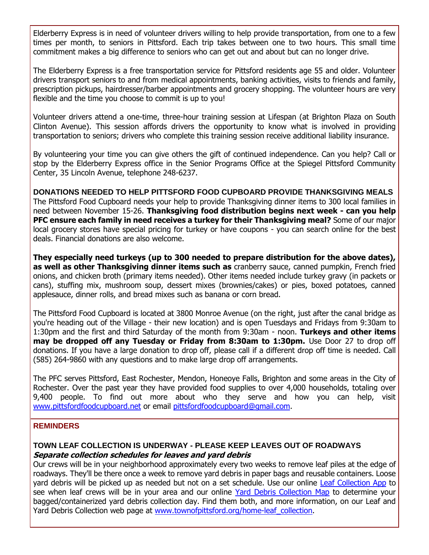Elderberry Express is in need of volunteer drivers willing to help provide transportation, from one to a few times per month, to seniors in Pittsford. Each trip takes between one to two hours. This small time commitment makes a big difference to seniors who can get out and about but can no longer drive.

The Elderberry Express is a free transportation service for Pittsford residents age 55 and older. Volunteer drivers transport seniors to and from medical appointments, banking activities, visits to friends and family, prescription pickups, hairdresser/barber appointments and grocery shopping. The volunteer hours are very flexible and the time you choose to commit is up to you!

Volunteer drivers attend a one-time, three-hour training session at Lifespan (at Brighton Plaza on South Clinton Avenue). This session affords drivers the opportunity to know what is involved in providing transportation to seniors; drivers who complete this training session receive additional liability insurance.

By volunteering your time you can give others the gift of continued independence. Can you help? Call or stop by the Elderberry Express office in the Senior Programs Office at the Spiegel Pittsford Community Center, 35 Lincoln Avenue, telephone 248-6237.

**DONATIONS NEEDED TO HELP PITTSFORD FOOD CUPBOARD PROVIDE THANKSGIVING MEALS** The Pittsford Food Cupboard needs your help to provide Thanksgiving dinner items to 300 local families in need between November 15-26. **Thanksgiving food distribution begins next week - can you help PFC ensure each family in need receives a turkey for their Thanksgiving meal?** Some of our major local grocery stores have special pricing for turkey or have coupons - you can search online for the best deals. Financial donations are also welcome.

**They especially need turkeys (up to 300 needed to prepare distribution for the above dates), as well as other Thanksgiving dinner items such as** cranberry sauce, canned pumpkin, French fried onions, and chicken broth (primary items needed). Other items needed include turkey gravy (in packets or cans), stuffing mix, mushroom soup, dessert mixes (brownies/cakes) or pies, boxed potatoes, canned applesauce, dinner rolls, and bread mixes such as banana or corn bread.

The Pittsford Food Cupboard is located at 3800 Monroe Avenue (on the right, just after the canal bridge as you're heading out of the Village - their new location) and is open Tuesdays and Fridays from 9:30am to 1:30pm and the first and third Saturday of the month from 9:30am - noon. **Turkeys and other items may be dropped off any Tuesday or Friday from 8:30am to 1:30pm.** Use Door 27 to drop off donations. If you have a large donation to drop off, please call if a different drop off time is needed. Call (585) 264-9860 with any questions and to make large drop off arrangements.

The PFC serves Pittsford, East Rochester, Mendon, Honeoye Falls, Brighton and some areas in the City of Rochester. Over the past year they have provided food supplies to over 4,000 households, totaling over 9,400 people. To find out more about who they serve and how you can help, visit [www.pittsfordfoodcupboard.net](http://r20.rs6.net/tn.jsp?f=001x6g64B0DxVZwEdhEMTY7DjGIlv4rzVwQMt0yecxZQ2Ej57KLV5JNXqja5qaQyBNSyb26VcMn7LKBK5fIlFEbm_o4mnEuqJ8zAq2i-YbNt1iBUQyMLvcA-IoOF4EpghOD36OoeT2njpj7lyWtg0Hq-dfzqpywm2HiGBVFGVLiN1YfWOr8egA9nKd8QWlWCz2cM7p90vwFOzFcV4efJUqtleSXQalC5ZsIjXsBrlOgXutL3kSwPDmK-9cHFAYRli7_SwXk4gHR59lqiZLaEyW_MJfyTHKlqYG-KylqC7vqLsYpkDUVPCFEZQ==&c=OUPQTod9FfGn2PAkaoWWi7lpZflBsg9vJJbPtF33EvmPlcNOewbIPA==&ch=2zuaHHIx076__5MjQIOuz3MCJsTuopDJzp57EyftlCtR5sQMMQWZEQ==) or email [pittsfordfoodcupboard@gmail.com.](mailto:pittfoodcup14534@gmail.com?subject=Thanksgiving%20meal%20donations)

#### **REMINDERS**

#### **TOWN LEAF COLLECTION IS UNDERWAY - PLEASE KEEP LEAVES OUT OF ROADWAYS Separate collection schedules for leaves and yard debris**

Our crews will be in your neighborhood approximately every two weeks to remove leaf piles at the edge of roadways. They'll be there once a week to remove yard debris in paper bags and reusable containers. Loose yard debris will be picked up as needed but not on a set schedule. Use our online [Leaf Collection App](http://r20.rs6.net/tn.jsp?f=001x6g64B0DxVZwEdhEMTY7DjGIlv4rzVwQMt0yecxZQ2Ej57KLV5JNXi2ShWVfJJml4CJBFcn_qdxEchxxiuooSt9Xhj9GWYDnSWu0YLHOmR7jH2RmCcNxMzd5mGPf7vzqe8yPJCF_LnEmRWV-CT-glA44Vfq2c_hAuY10nC9l0jomlPMCGOUA-N9wIfB4UrE6fSSfWieIAC_QQiv46G_PcnpE3YZtZY35c_saH1PASJYvvhPqKfPUbm_AY9ty_4P71Wg3lu4YQz3Xwc49yCioCebwA1BFoHMCpi4uMuC_RyJVixsI1CuQkK_2wbdTfDsR&c=OUPQTod9FfGn2PAkaoWWi7lpZflBsg9vJJbPtF33EvmPlcNOewbIPA==&ch=2zuaHHIx076__5MjQIOuz3MCJsTuopDJzp57EyftlCtR5sQMMQWZEQ==) to see when leaf crews will be in your area and our online [Yard Debris Collection Map](http://r20.rs6.net/tn.jsp?f=001x6g64B0DxVZwEdhEMTY7DjGIlv4rzVwQMt0yecxZQ2Ej57KLV5JNXqQJr18C2gmE7ayDLKSGjsa0033Lg71hf0vnI1EMWRjJJrGOJ6AulxYaQVkzk0wEbL8VWVnIm_svV-FjVkfGaOHRMNjBk1jk7f_QzOIe2H-1UdzgTdFqVI0tHorU-dBFfSJbmekxWH0HY3v2xGhCk0Stb2FWLds9EOzYLizr-X6rEQjqmpYYTDNcDvfHSPI0GqxrXWi-XFQ_ugkc0dNMFOwB3oGMEPYhUZgDuaC2qOax6qkj7rGmYPHxTbsOcUxT6tCU9BICyZdL&c=OUPQTod9FfGn2PAkaoWWi7lpZflBsg9vJJbPtF33EvmPlcNOewbIPA==&ch=2zuaHHIx076__5MjQIOuz3MCJsTuopDJzp57EyftlCtR5sQMMQWZEQ==) to determine your bagged/containerized yard debris collection day. Find them both, and more information, on our Leaf and Yard Debris Collection web page at www.townofpittsford.org/home-leaf collection.